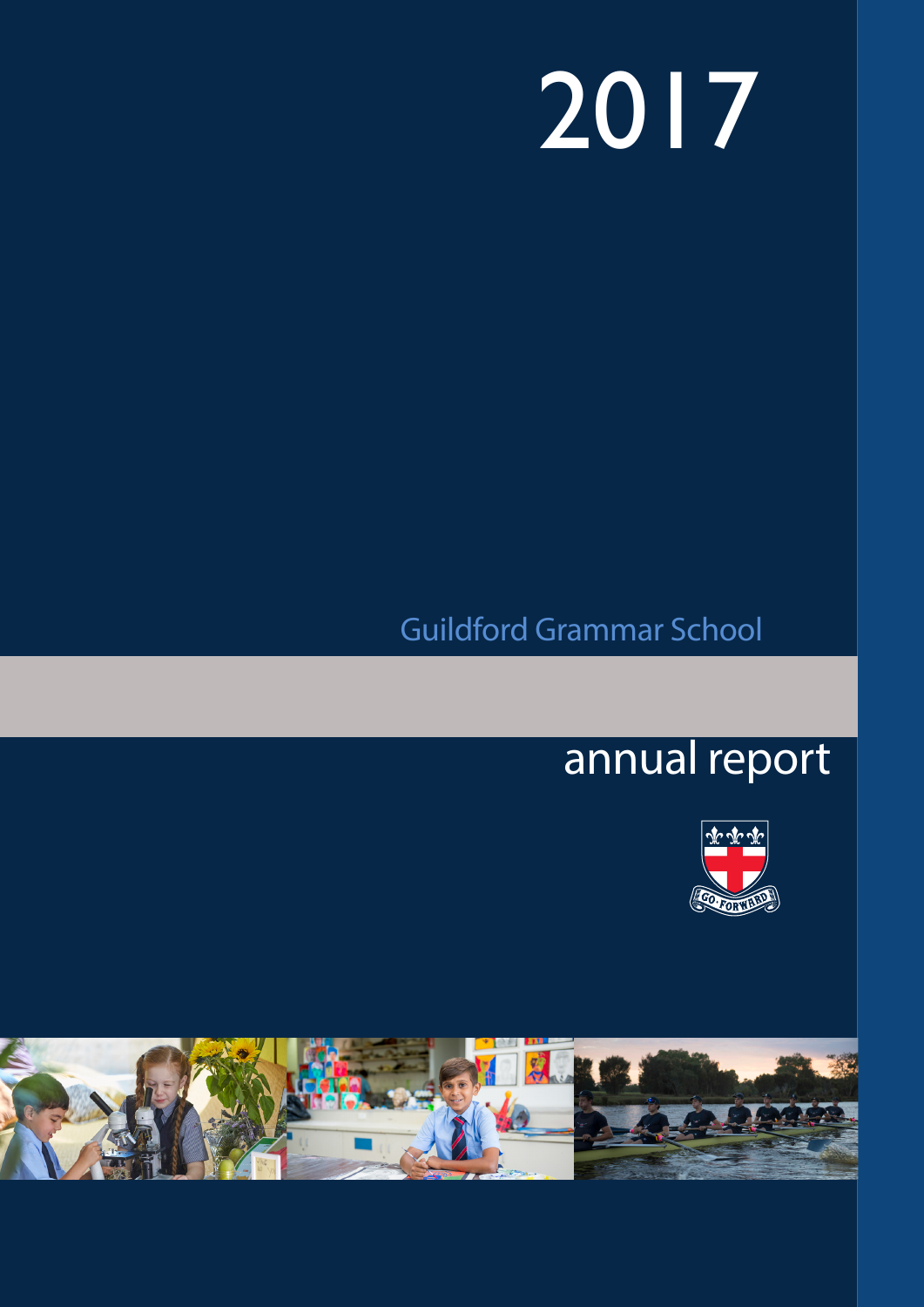# 2017

# Guildford Grammar School

# 2016 annual report



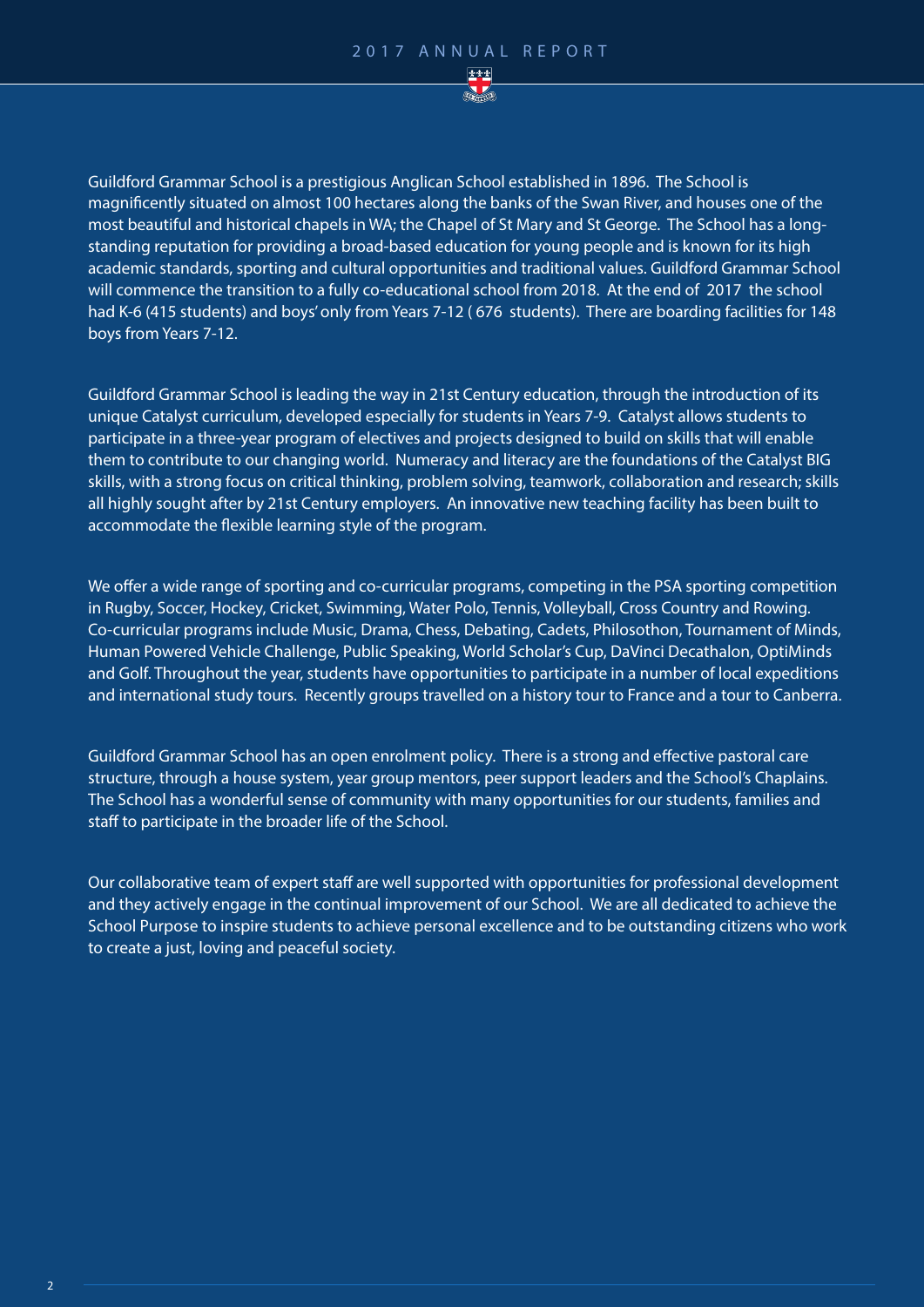

Guildford Grammar School is a prestigious Anglican School established in 1896. The School is magnificently situated on almost 100 hectares along the banks of the Swan River, and houses one of the most beautiful and historical chapels in WA; the Chapel of St Mary and St George. The School has a longstanding reputation for providing a broad-based education for young people and is known for its high academic standards, sporting and cultural opportunities and traditional values. Guildford Grammar School will commence the transition to a fully co-educational school from 2018. At the end of 2017 the school had K-6 (415 students) and boys' only from Years 7-12 ( 676 students). There are boarding facilities for 148 boys from Years 7-12.

Guildford Grammar School is leading the way in 21st Century education, through the introduction of its unique Catalyst curriculum, developed especially for students in Years 7-9. Catalyst allows students to participate in a three-year program of electives and projects designed to build on skills that will enable them to contribute to our changing world. Numeracy and literacy are the foundations of the Catalyst BIG skills, with a strong focus on critical thinking, problem solving, teamwork, collaboration and research; skills all highly sought after by 21st Century employers. An innovative new teaching facility has been built to accommodate the flexible learning style of the program.

We offer a wide range of sporting and co-curricular programs, competing in the PSA sporting competition in Rugby, Soccer, Hockey, Cricket, Swimming, Water Polo, Tennis, Volleyball, Cross Country and Rowing. Co-curricular programs include Music, Drama, Chess, Debating, Cadets, Philosothon, Tournament of Minds, Human Powered Vehicle Challenge, Public Speaking, World Scholar's Cup, DaVinci Decathalon, OptiMinds and Golf. Throughout the year, students have opportunities to participate in a number of local expeditions and international study tours. Recently groups travelled on a history tour to France and a tour to Canberra.

Guildford Grammar School has an open enrolment policy. There is a strong and effective pastoral care structure, through a house system, year group mentors, peer support leaders and the School's Chaplains. The School has a wonderful sense of community with many opportunities for our students, families and staff to participate in the broader life of the School.

Our collaborative team of expert staff are well supported with opportunities for professional development and they actively engage in the continual improvement of our School. We are all dedicated to achieve the School Purpose to inspire students to achieve personal excellence and to be outstanding citizens who work to create a just, loving and peaceful society.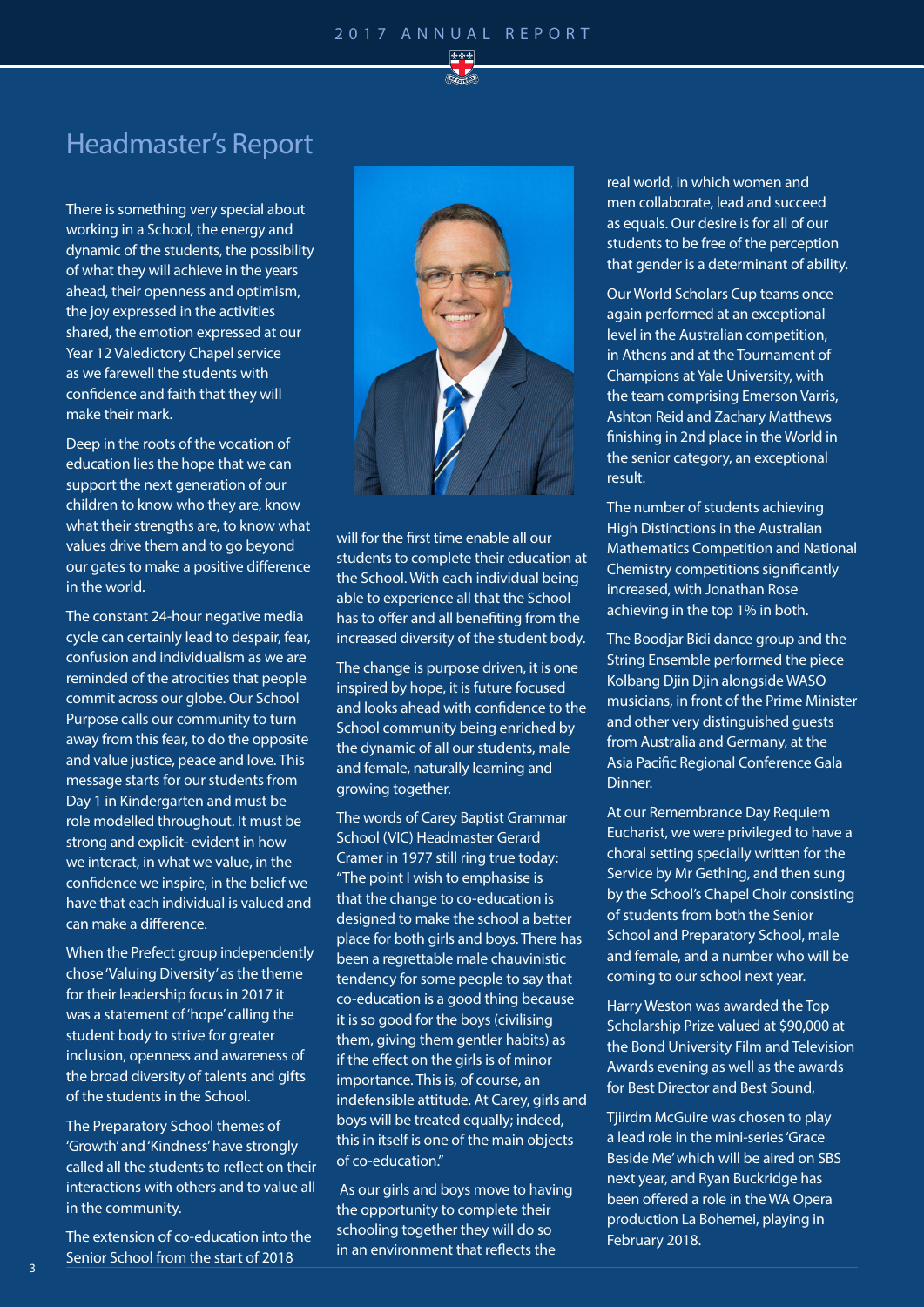

### Headmaster's Report

There is something very special about working in a School, the energy and dynamic of the students, the possibility of what they will achieve in the years ahead, their openness and optimism, the joy expressed in the activities shared, the emotion expressed at our Year 12 Valedictory Chapel service as we farewell the students with confidence and faith that they will make their mark.

Deep in the roots of the vocation of education lies the hope that we can support the next generation of our children to know who they are, know what their strengths are, to know what values drive them and to go beyond our gates to make a positive difference in the world.

The constant 24-hour negative media cycle can certainly lead to despair, fear, confusion and individualism as we are reminded of the atrocities that people commit across our globe. Our School Purpose calls our community to turn away from this fear, to do the opposite and value justice, peace and love. This message starts for our students from Day 1 in Kindergarten and must be role modelled throughout. It must be strong and explicit- evident in how we interact, in what we value, in the confidence we inspire, in the belief we have that each individual is valued and can make a difference.

When the Prefect group independently chose 'Valuing Diversity' as the theme for their leadership focus in 2017 it was a statement of 'hope' calling the student body to strive for greater inclusion, openness and awareness of the broad diversity of talents and gifts of the students in the School.

The Preparatory School themes of 'Growth' and 'Kindness' have strongly called all the students to reflect on their interactions with others and to value all in the community.

The extension of co-education into the Senior School from the start of 2018



will for the first time enable all our students to complete their education at the School. With each individual being able to experience all that the School has to offer and all benefiting from the increased diversity of the student body.

The change is purpose driven, it is one inspired by hope, it is future focused and looks ahead with confidence to the School community being enriched by the dynamic of all our students, male and female, naturally learning and growing together.

The words of Carey Baptist Grammar School (VIC) Headmaster Gerard Cramer in 1977 still ring true today: "The point I wish to emphasise is that the change to co-education is designed to make the school a better place for both girls and boys. There has been a regrettable male chauvinistic tendency for some people to say that co-education is a good thing because it is so good for the boys (civilising them, giving them gentler habits) as if the effect on the girls is of minor importance. This is, of course, an indefensible attitude. At Carey, girls and boys will be treated equally; indeed, this in itself is one of the main objects of co-education."

 As our girls and boys move to having the opportunity to complete their schooling together they will do so in an environment that reflects the

real world, in which women and men collaborate, lead and succeed as equals. Our desire is for all of our students to be free of the perception that gender is a determinant of ability.

Our World Scholars Cup teams once again performed at an exceptional level in the Australian competition, in Athens and at the Tournament of Champions at Yale University, with the team comprising Emerson Varris, Ashton Reid and Zachary Matthews finishing in 2nd place in the World in the senior category, an exceptional result.

The number of students achieving High Distinctions in the Australian Mathematics Competition and National Chemistry competitions significantly increased, with Jonathan Rose achieving in the top 1% in both.

The Boodjar Bidi dance group and the String Ensemble performed the piece Kolbang Djin Djin alongside WASO musicians, in front of the Prime Minister and other very distinguished guests from Australia and Germany, at the Asia Pacific Regional Conference Gala Dinner.

At our Remembrance Day Requiem Eucharist, we were privileged to have a choral setting specially written for the Service by Mr Gething, and then sung by the School's Chapel Choir consisting of students from both the Senior School and Preparatory School, male and female, and a number who will be coming to our school next year.

Harry Weston was awarded the Top Scholarship Prize valued at \$90,000 at the Bond University Film and Television Awards evening as well as the awards for Best Director and Best Sound,

Tijirdm McGuire was chosen to play a lead role in the mini-series 'Grace Beside Me' which will be aired on SBS next year, and Ryan Buckridge has been offered a role in the WA Opera production La Bohemei, playing in February 2018.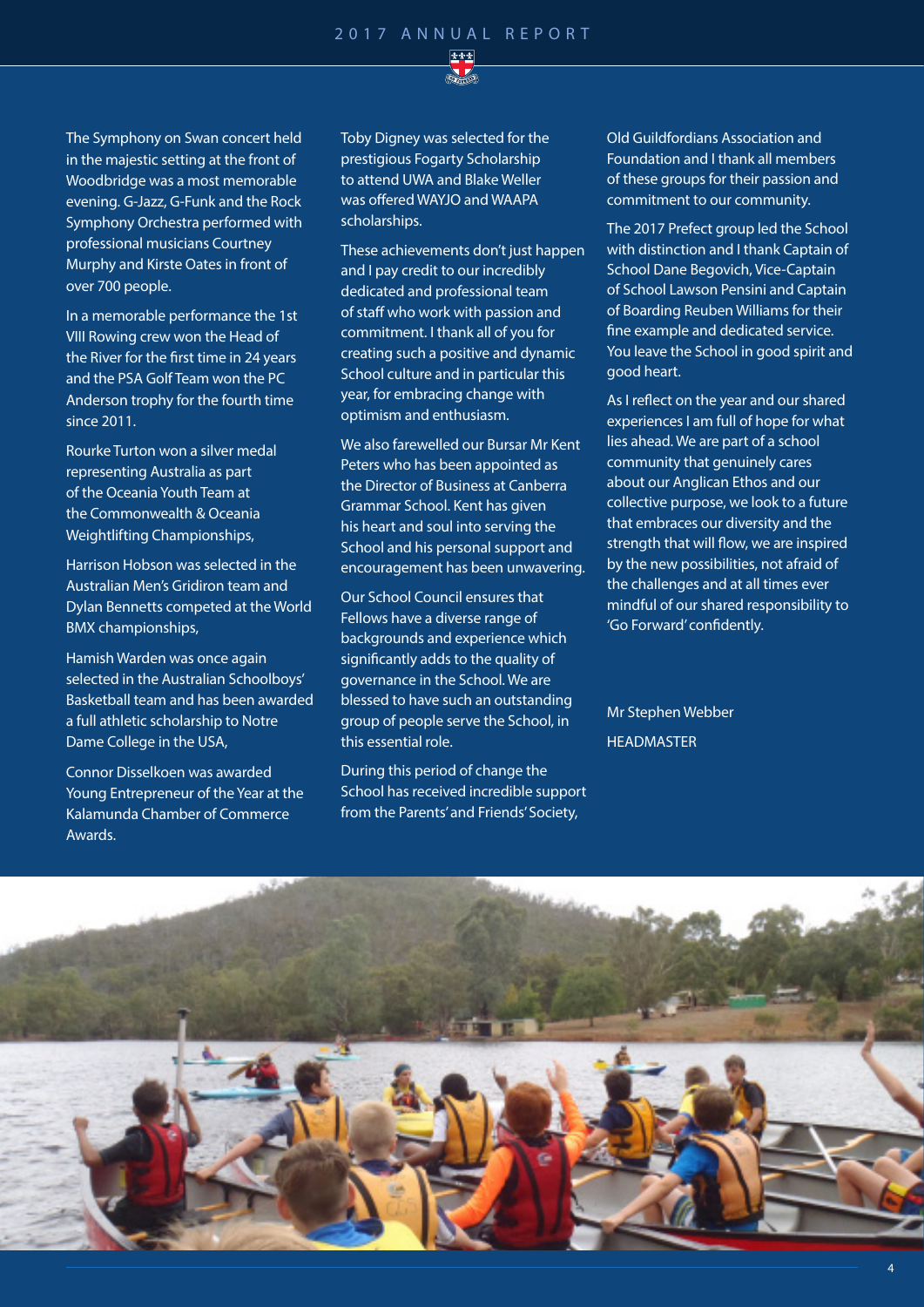

The Symphony on Swan concert held in the majestic setting at the front of Woodbridge was a most memorable evening. G-Jazz, G-Funk and the Rock Symphony Orchestra performed with professional musicians Courtney Murphy and Kirste Oates in front of over 700 people.

In a memorable performance the 1st VIII Rowing crew won the Head of the River for the first time in 24 years and the PSA Golf Team won the PC Anderson trophy for the fourth time since 2011.

Rourke Turton won a silver medal representing Australia as part of the Oceania Youth Team at the Commonwealth & Oceania Weightlifting Championships,

Harrison Hobson was selected in the Australian Men's Gridiron team and Dylan Bennetts competed at the World BMX championships,

Hamish Warden was once again selected in the Australian Schoolboys' Basketball team and has been awarded a full athletic scholarship to Notre Dame College in the USA,

Connor Disselkoen was awarded Young Entrepreneur of the Year at the Kalamunda Chamber of Commerce Awards.

Toby Digney was selected for the prestigious Fogarty Scholarship to attend UWA and Blake Weller was offered WAYJO and WAAPA scholarships.

These achievements don't just happen and I pay credit to our incredibly dedicated and professional team of staff who work with passion and commitment. I thank all of you for creating such a positive and dynamic School culture and in particular this year, for embracing change with optimism and enthusiasm.

We also farewelled our Bursar Mr Kent Peters who has been appointed as the Director of Business at Canberra Grammar School. Kent has given his heart and soul into serving the School and his personal support and encouragement has been unwavering.

Our School Council ensures that Fellows have a diverse range of backgrounds and experience which significantly adds to the quality of governance in the School. We are blessed to have such an outstanding group of people serve the School, in this essential role.

During this period of change the School has received incredible support from the Parents' and Friends' Society,

Old Guildfordians Association and Foundation and I thank all members of these groups for their passion and commitment to our community.

The 2017 Prefect group led the School with distinction and I thank Captain of School Dane Begovich, Vice-Captain of School Lawson Pensini and Captain of Boarding Reuben Williams for their fine example and dedicated service. You leave the School in good spirit and good heart.

As I reflect on the year and our shared experiences I am full of hope for what lies ahead. We are part of a school community that genuinely cares about our Anglican Ethos and our collective purpose, we look to a future that embraces our diversity and the strength that will flow, we are inspired by the new possibilities, not afraid of the challenges and at all times ever mindful of our shared responsibility to 'Go Forward' confidently.

Mr Stephen Webber **HEADMASTER** 

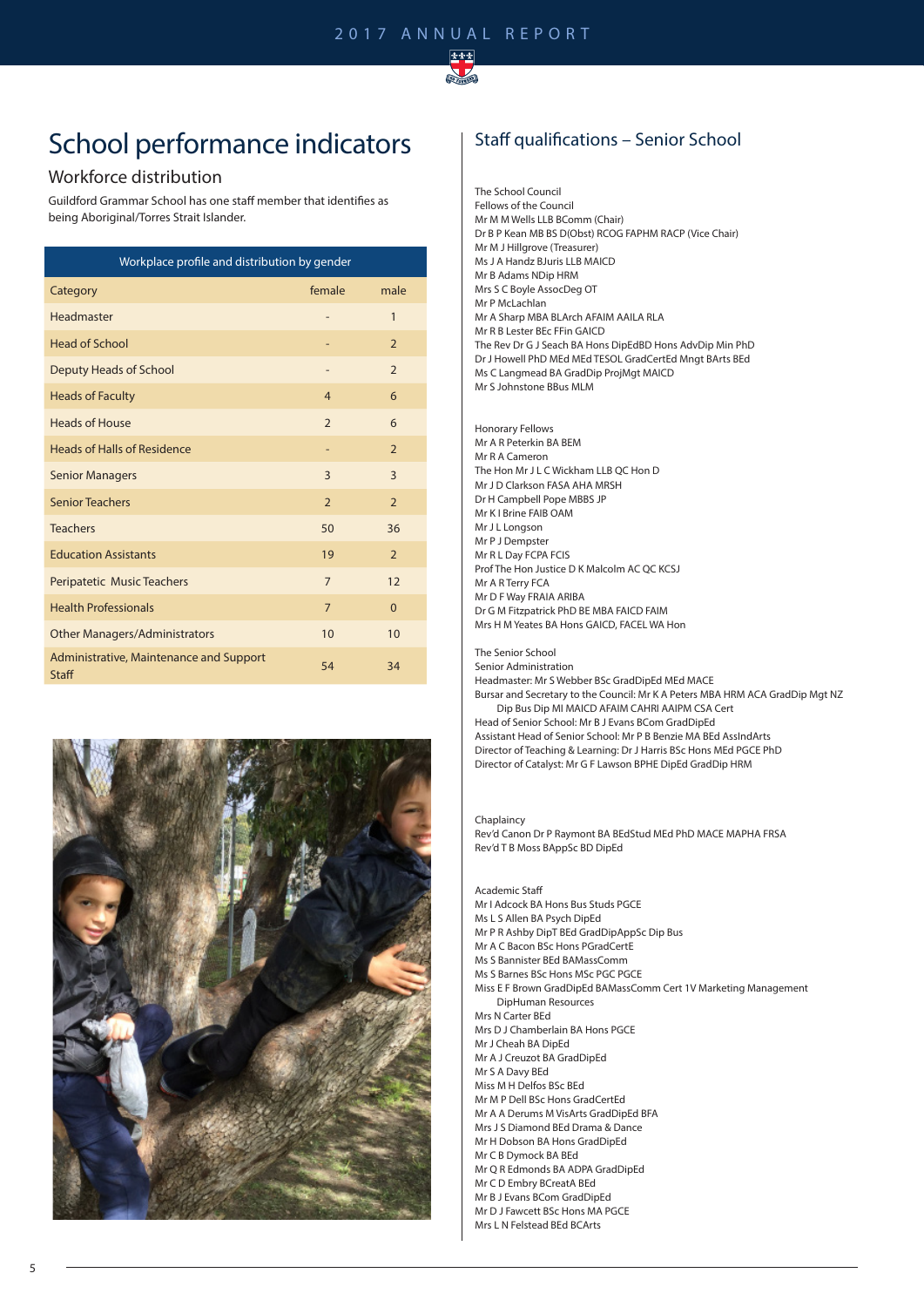

## School performance indicators

#### Workforce distribution

Guildford Grammar School has one staff member that identifies as being Aboriginal/Torres Strait Islander.

| Workplace profile and distribution by gender            |                |                          |  |  |  |  |
|---------------------------------------------------------|----------------|--------------------------|--|--|--|--|
| Category                                                | female         | male                     |  |  |  |  |
| Headmaster                                              |                | 1                        |  |  |  |  |
| <b>Head of School</b>                                   |                | $\overline{2}$           |  |  |  |  |
| Deputy Heads of School                                  |                | $\overline{\phantom{0}}$ |  |  |  |  |
| <b>Heads of Faculty</b>                                 | $\overline{4}$ | 6                        |  |  |  |  |
| <b>Heads of House</b>                                   | $\overline{2}$ | 6                        |  |  |  |  |
| <b>Heads of Halls of Residence</b>                      |                | $\overline{2}$           |  |  |  |  |
| <b>Senior Managers</b>                                  | 3              | $\overline{3}$           |  |  |  |  |
| <b>Senior Teachers</b>                                  | $\overline{2}$ | $\overline{2}$           |  |  |  |  |
| <b>Teachers</b>                                         | 50             | 36                       |  |  |  |  |
| <b>Education Assistants</b>                             | 19             | $\overline{2}$           |  |  |  |  |
| Peripatetic Music Teachers                              | $\overline{7}$ | 12                       |  |  |  |  |
| <b>Health Professionals</b>                             | $\overline{7}$ | $\Omega$                 |  |  |  |  |
| <b>Other Managers/Administrators</b>                    | 10             | 10                       |  |  |  |  |
| Administrative, Maintenance and Support<br><b>Staff</b> | 54             | 34                       |  |  |  |  |



#### Staff qualifications – Senior School

The School Council Fellows of the Council Mr M M Wells LLB BComm (Chair) Dr B P Kean MB BS D(Obst) RCOG FAPHM RACP (Vice Chair) Mr M J Hillgrove (Treasurer) Ms J A Handz BJuris LLB MAICD Mr B Adams NDip HRM Mrs S C Boyle AssocDeg OT Mr P McLachlan Mr A Sharp MBA BLArch AFAIM AAILA RLA Mr R B Lester BEc FFin GAICD The Rev Dr G J Seach BA Hons DipEdBD Hons AdvDip Min PhD Dr J Howell PhD MEd MEd TESOL GradCertEd Mngt BArts BEd Ms C Langmead BA GradDip ProjMgt MAICD Mr S Johnstone BBus MLM

Honorary Fellows Mr A R Peterkin BA BEM Mr R A Cameron The Hon Mr J L C Wickham LLB QC Hon D Mr J D Clarkson FASA AHA MRSH Dr H Campbell Pope MBBS JP Mr K I Brine FAIB OAM Mr J L Longson Mr P J Dempster Mr R L Day FCPA FCIS Prof The Hon Justice D K Malcolm AC QC KCSJ Mr A R Terry FCA Mr D F Way FRAIA ARIBA Dr G M Fitzpatrick PhD BE MBA FAICD FAIM Mrs H M Yeates BA Hons GAICD, FACEL WA Hon

#### The Senior School Senior Administration

Headmaster: Mr S Webber BSc GradDipEd MEd MACE Bursar and Secretary to the Council: Mr K A Peters MBA HRM ACA GradDip Mgt NZ Dip Bus Dip MI MAICD AFAIM CAHRI AAIPM CSA Cert Head of Senior School: Mr B J Evans BCom GradDipEd Assistant Head of Senior School: Mr P B Benzie MA BEd AssIndArts Director of Teaching & Learning: Dr J Harris BSc Hons MEd PGCE PhD Director of Catalyst: Mr G F Lawson BPHE DipEd GradDip HRM

#### Chaplaincy

Rev'd Canon Dr P Raymont BA BEdStud MEd PhD MACE MAPHA FRSA Rev'd T B Moss BAppSc BD DipEd

#### Academic Staff

- Mr I Adcock BA Hons Bus Studs PGCE
- Ms L S Allen BA Psych DipEd
- Mr P R Ashby DipT BEd GradDipAppSc Dip Bus
- Mr A C Bacon BSc Hons PGradCertE Ms S Bannister BEd BAMassComm
- Ms S Barnes BSc Hons MSc PGC PGCF
- 
- Miss E F Brown GradDipEd BAMassComm Cert 1V Marketing Management DipHuman Resources
- Mrs N Carter BEd
- Mrs D J Chamberlain BA Hons PGCE
- Mr J Cheah BA DipEd
- Mr A J Creuzot BA GradDipEd
- Mr S A Davy BEd
- Miss M H Delfos BSc BEd Mr M P Dell BSc Hons GradCertEd
- Mr A A Derums M VisArts GradDipEd BFA
- Mrs J S Diamond BEd Drama & Dance
- Mr H Dobson BA Hons GradDipEd
- Mr C B Dymock BA BEd
- Mr Q R Edmonds BA ADPA GradDipEd
- Mr C D Embry BCreatA BEd
- Mr B J Evans BCom GradDipEd
- Mr D J Fawcett BSc Hons MA PGCE
- Mrs L N Felstead BEd BCArts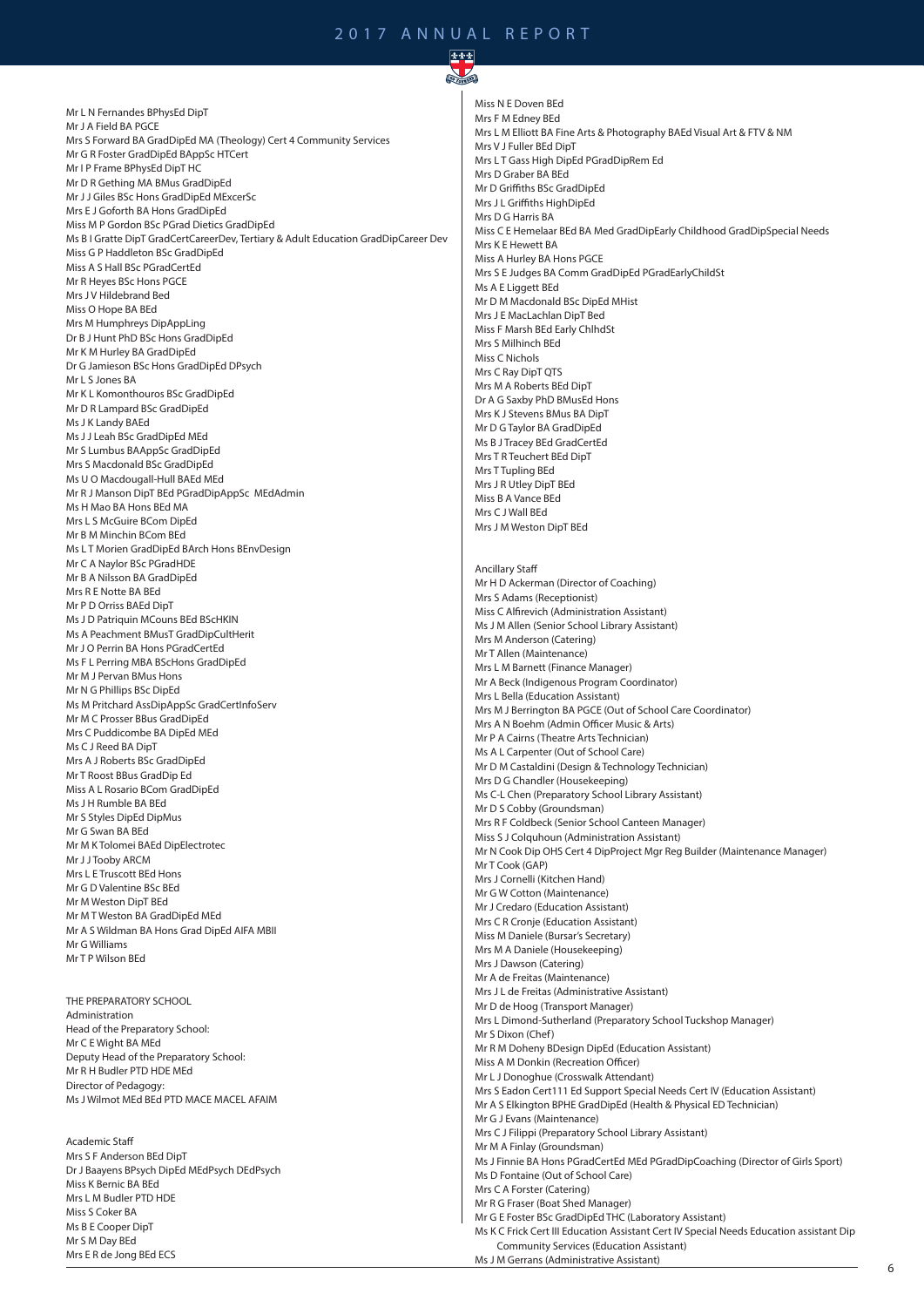$\sum_{i=1}^n$ 

Mr L N Fernandes BPhysEd DipT Mr J A Field BA PGCE Mrs S Forward BA GradDipEd MA (Theology) Cert 4 Community Services Mr G R Foster GradDipEd BAppSc HTCert Mr I P Frame BPhysEd DipT HC Mr D R Gething MA BMus GradDipEd Mr J J Giles BSc Hons GradDipEd MExcerSc Mrs E J Goforth BA Hons GradDipEd Miss M P Gordon BSc PGrad Dietics GradDipEd Ms B I Gratte DipT GradCertCareerDev, Tertiary & Adult Education GradDipCareer Dev Miss G P Haddleton BSc GradDipEd Miss A S Hall BSc PGradCertEd Mr R Heyes BSc Hons PGCE Mrs J V Hildebrand Bed Miss O Hope BA BEd Mrs M Humphreys DipAppLing Dr B J Hunt PhD BSc Hons GradDipEd Mr K M Hurley BA GradDipEd Dr G Jamieson BSc Hons GradDipEd DPsych Mr L S Jones BA Mr K L Komonthouros BSc GradDipEd Mr D R Lampard BSc GradDipEd Ms J K Landy BAEd Ms J J Leah BSc GradDipEd MEd Mr S Lumbus BAAppSc GradDipEd Mrs S Macdonald BSc GradDipEd Ms U O Macdougall-Hull BAEd MEd Mr R J Manson DipT BEd PGradDipAppSc MEdAdmin Ms H Mao BA Hons BEd MA Mrs L S McGuire BCom DipEd Mr B M Minchin BCom BEd Ms L T Morien GradDipEd BArch Hons BEnvDesign Mr C A Naylor BSc PGradHDE Mr B A Nilsson BA GradDipEd Mrs R E Notte BA BEd Mr P D Orriss BAEd DipT Ms J D Patriquin MCouns BEd BScHKIN Ms A Peachment BMusT GradDipCultHerit Mr J O Perrin BA Hons PGradCertEd Ms F L Perring MBA BScHons GradDipEd Mr M J Pervan BMus Hons Mr N G Phillips BSc DipEd Ms M Pritchard AssDipAppSc GradCertInfoServ Mr M C Prosser BBus GradDipEd Mrs C Puddicombe BA DipEd MEd Ms C I Reed BA DinT Mrs A J Roberts BSc GradDipEd Mr T Roost BBus GradDip Ed Miss A L Rosario BCom GradDipEd Ms J H Rumble BA BEd Mr S Styles DipEd DipMus Mr G Swan BA BEd Mr M K Tolomei BAEd DipElectrotec Mr J J Tooby ARCM Mrs L E Truscott BEd Hons Mr G D Valentine BSc BEd Mr M Weston DipT BEd Mr M T Weston BA GradDipEd MEd Mr A S Wildman BA Hons Grad DipEd AIFA MBII Mr G Williams Mr T P Wilson BEd THE PREPARATORY SCHOOL Administration

Head of the Preparatory School: Mr C E Wight BA MEd Deputy Head of the Preparatory School: Mr R H Budler PTD HDE MEd Director of Pedagogy: Ms J Wilmot MEd BEd PTD MACE MACEL AFAIM

Academic Staff Mrs S F Anderson BEd DipT Dr J Baayens BPsych DipEd MEdPsych DEdPsych Miss K Bernic BA BEd Mrs L M Budler PTD HDE Miss S Coker BA Ms B E Cooper DipT Mr S M Day BEd Mrs E R de Jong BEd ECS

Miss N E Doven BEd Mrs F M Edney BEd Mrs L M Elliott BA Fine Arts & Photography BAEd Visual Art & FTV & NM Mrs V J Fuller BEd DipT Mrs L T Gass High DipEd PGradDipRem Ed Mrs D Graber BA BEd Mr D Griffiths BSc GradDipEd Mrs J L Griffiths HighDipEd Mrs D G Harris BA Miss C E Hemelaar BEd BA Med GradDipEarly Childhood GradDipSpecial Needs Mrs K E Hewett BA Miss A Hurley BA Hons PGCE Mrs S E Judges BA Comm GradDipEd PGradEarlyChildSt Ms A E Liggett BEd Mr D M Macdonald BSc DipEd MHist Mrs J E MacLachlan DipT Bed Miss F Marsh BEd Early ChlhdSt Mrs S Milhinch BEd Miss C Nichols Mrs C Ray DipT QTS Mrs M A Roberts BEd DipT Dr A G Saxby PhD BMusEd Hons Mrs K J Stevens BMus BA DipT Mr D G Taylor BA GradDipEd Ms B J Tracey BEd GradCertEd Mrs T R Teuchert BEd DipT Mrs T Tupling BEd Mrs J R Utley DipT BEd Miss B A Vance BEd Mrs C J Wall BEd Mrs J M Weston DipT BEd Ancillary Staff Mr H D Ackerman (Director of Coaching) Mrs S Adams (Receptionist) Miss C Alfirevich (Administration Assistant) Ms J M Allen (Senior School Library Assistant) Mrs M Anderson (Catering) Mr T Allen (Maintenance) Mrs L M Barnett (Finance Manager) Mr A Beck (Indigenous Program Coordinator) Mrs L Bella (Education Assistant) Mrs M J Berrington BA PGCE (Out of School Care Coordinator) Mrs A N Boehm (Admin Officer Music & Arts) Mr P A Cairns (Theatre Arts Technician) Ms A L Carpenter (Out of School Care) Mr D M Castaldini (Design & Technology Technician) Mrs D G Chandler (Housekeeping) Ms C-L Chen (Preparatory School Library Assistant) Mr D S Cobby (Groundsman) Mrs R F Coldbeck (Senior School Canteen Manager) Miss S J Colquhoun (Administration Assistant) Mr N Cook Dip OHS Cert 4 DipProject Mgr Reg Builder (Maintenance Manager) Mr T Cook (GAP) Mrs J Cornelli (Kitchen Hand) Mr G W Cotton (Maintenance) Mr J Credaro (Education Assistant) Mrs C R Cronje (Education Assistant) Miss M Daniele (Bursar's Secretary) Mrs M A Daniele (Housekeeping) Mrs J Dawson (Catering) Mr A de Freitas (Maintenance) Mrs J L de Freitas (Administrative Assistant) Mr D de Hoog (Transport Manager) Mrs L Dimond-Sutherland (Preparatory School Tuckshop Manager) Mr S Dixon (Chef) Mr R M Doheny BDesign DipEd (Education Assistant) Miss A M Donkin (Recreation Officer) Mr L J Donoghue (Crosswalk Attendant)

Mrs S Eadon Cert111 Ed Support Special Needs Cert IV (Education Assistant)

Mr A S Elkington BPHE GradDipEd (Health & Physical ED Technician)

Mr G J Evans (Maintenance)

Mrs C J Filippi (Preparatory School Library Assistant)

Mr M A Finlay (Groundsman)

Ms J Finnie BA Hons PGradCertEd MEd PGradDipCoaching (Director of Girls Sport)

Ms D Fontaine (Out of School Care)

Mrs C A Forster (Catering)

Mr R G Fraser (Boat Shed Manager)

Mr G E Foster BSc GradDipEd THC (Laboratory Assistant)

Ms K C Frick Cert III Education Assistant Cert IV Special Needs Education assistant Dip Community Services (Education Assistant)

Ms J M Gerrans (Administrative Assistant)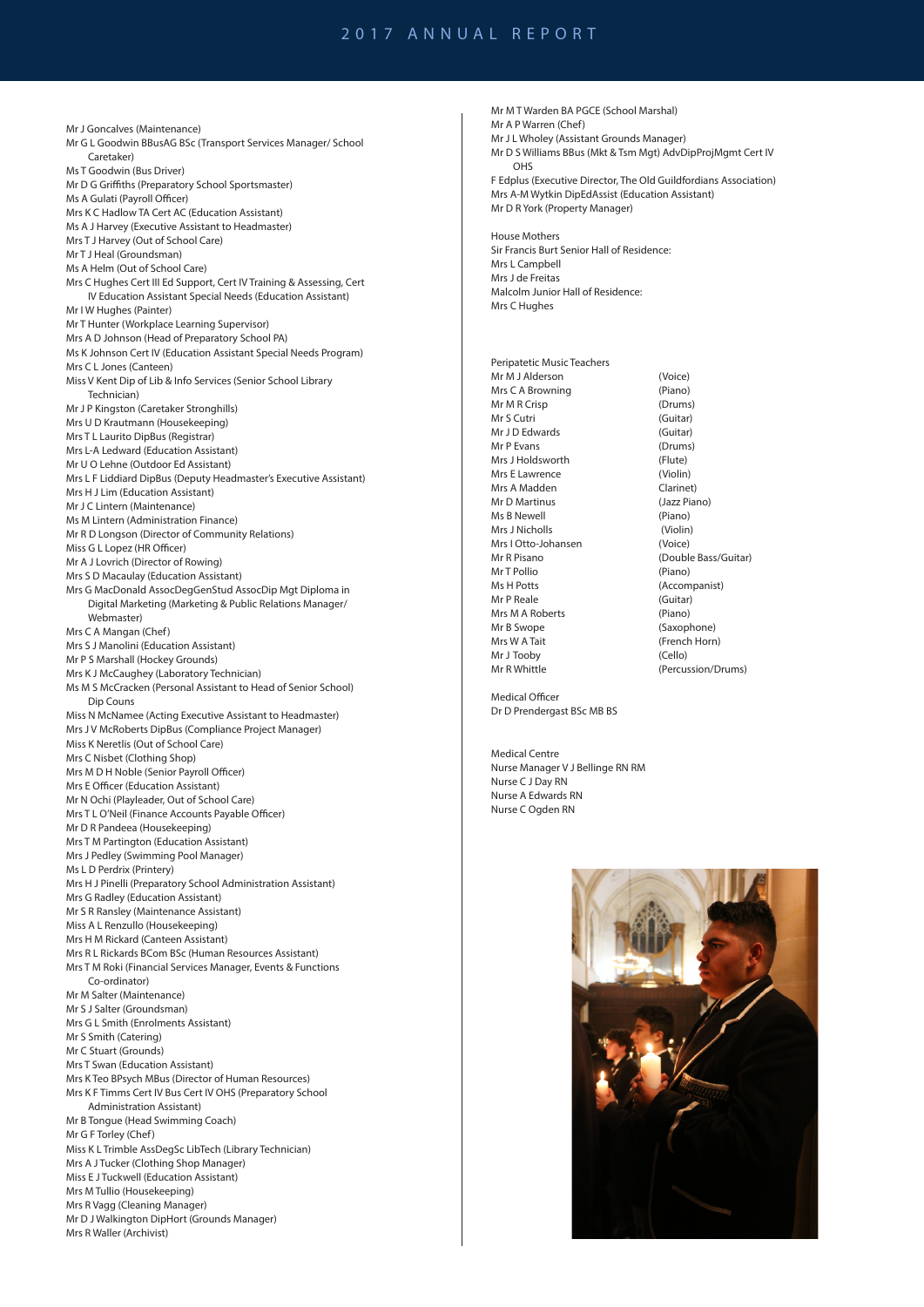Mr J Goncalves (Maintenance) Mr G L Goodwin BBusAG BSc (Transport Services Manager/ School Caretaker) Ms T Goodwin (Bus Driver) Mr D G Griffiths (Preparatory School Sportsmaster) Ms A Gulati (Payroll Officer) Mrs K C Hadlow TA Cert AC (Education Assistant) Ms A J Harvey (Executive Assistant to Headmaster) Mrs T J Harvey (Out of School Care) Mr T J Heal (Groundsman) Ms A Helm (Out of School Care) Mrs C Hughes Cert III Ed Support, Cert IV Training & Assessing, Cert IV Education Assistant Special Needs (Education Assistant) Mr I W Hughes (Painter) Mr T Hunter (Workplace Learning Supervisor) Mrs A D Johnson (Head of Preparatory School PA) Ms K Johnson Cert IV (Education Assistant Special Needs Program) Mrs C L Jones (Canteen) Miss V Kent Dip of Lib & Info Services (Senior School Library Technician) Mr J P Kingston (Caretaker Stronghills) Mrs U D Krautmann (Housekeeping) Mrs T L Laurito DipBus (Registrar) Mrs L-A Ledward (Education Assistant) Mr U O Lehne (Outdoor Ed Assistant) Mrs L F Liddiard DipBus (Deputy Headmaster's Executive Assistant) Mrs H J Lim (Education Assistant) Mr J C Lintern (Maintenance) Ms M Lintern (Administration Finance) Mr R D Longson (Director of Community Relations) Miss G L Lopez (HR Officer) Mr A J Lovrich (Director of Rowing) Mrs S D Macaulay (Education Assistant) Mrs G MacDonald AssocDegGenStud AssocDip Mgt Diploma in Digital Marketing (Marketing & Public Relations Manager/ Webmaster) Mrs C A Mangan (Chef) Mrs S J Manolini (Education Assistant) Mr P S Marshall (Hockey Grounds) Mrs K J McCaughey (Laboratory Technician) Ms M S McCracken (Personal Assistant to Head of Senior School) Dip Couns Miss N McNamee (Acting Executive Assistant to Headmaster) Mrs J V McRoberts DipBus (Compliance Project Manager) Miss K Neretlis (Out of School Care) Mrs C Nisbet (Clothing Shop) Mrs M D H Noble (Senior Payroll Officer) Mrs E Officer (Education Assistant) Mr N Ochi (Playleader, Out of School Care) Mrs T L O'Neil (Finance Accounts Payable Officer) Mr D R Pandeea (Housekeeping) Mrs T M Partington (Education Assistant) Mrs J Pedley (Swimming Pool Manager) Ms L D Perdrix (Printery) Mrs H J Pinelli (Preparatory School Administration Assistant) Mrs G Radley (Education Assistant) Mr S R Ransley (Maintenance Assistant) Miss A L Renzullo (Housekeeping) Mrs H M Rickard (Canteen Assistant) Mrs R L Rickards BCom BSc (Human Resources Assistant) Mrs T M Roki (Financial Services Manager, Events & Functions Co-ordinator) Mr M Salter (Maintenance) Mr S J Salter (Groundsman) Mrs G L Smith (Enrolments Assistant) Mr S Smith (Catering) Mr C Stuart (Grounds) Mrs T Swan (Education Assistant) Mrs K Teo BPsych MBus (Director of Human Resources) Mrs K F Timms Cert IV Bus Cert IV OHS (Preparatory School Administration Assistant) Mr B Tongue (Head Swimming Coach) Mr G F Torley (Chef) Miss K L Trimble AssDegSc LibTech (Library Technician) Mrs A J Tucker (Clothing Shop Manager) Miss E J Tuckwell (Education Assistant) Mrs M Tullio (Housekeeping) Mrs R Vagg (Cleaning Manager) Mr D J Walkington DipHort (Grounds Manager) Mrs R Waller (Archivist)

Mr M T Warden BA PGCE (School Marshal) Mr A P Warren (Chef) Mr J L Wholey (Assistant Grounds Manager) Mr D S Williams BBus (Mkt & Tsm Mgt) AdvDipProjMgmt Cert IV OHS F Edplus (Executive Director, The Old Guildfordians Association) Mrs A-M Wytkin DipEdAssist (Education Assistant) Mr D R York (Property Manager) House Mothers Sir Francis Burt Senior Hall of Residence: Mrs L Campbell Mrs J de Freitas Malcolm Junior Hall of Residence: Mrs C Hughes Peripatetic Music Teachers Mr M J Alderson (Voice)<br>Mrs C A Browning (Piano) Mrs C A Browning Mr M R Crisp (Drums)<br>
Mr S Cutri (Guitar) Mr S Cutri (Guitar)<br>
Mr I D Edwards (Guitar) Mr J D Edwards Mr P Evans (Drums) Mrs J Holdsworth (Flute) Mrs E Lawrence (Violin) Mrs A Madden Clarinet)<br>
Mr D Martinus (Jazz Piano) **Mr D Martinus** Ms B Newell (Piano) Mrs J Nicholls (Violin) Mrs I Otto-Johansen (Voice) Mr R Pisano (Double Bass/Guitar) Mr T Pollio (Piano) Ms H Potts (Accompanist) Mr P Reale (Guitar) Mrs M A Roberts (Piano) Mr B Swope (Saxophone) Mrs W A Tait (French Horn) Mr J Tooby (Cello) Mr R Whittle (Percussion/Drums)

Medical Officer Dr D Prendergast BSc MB BS

Medical Centre Nurse Manager V J Bellinge RN RM Nurse C J Day RN Nurse A Edwards RN Nurse C Ogden RN

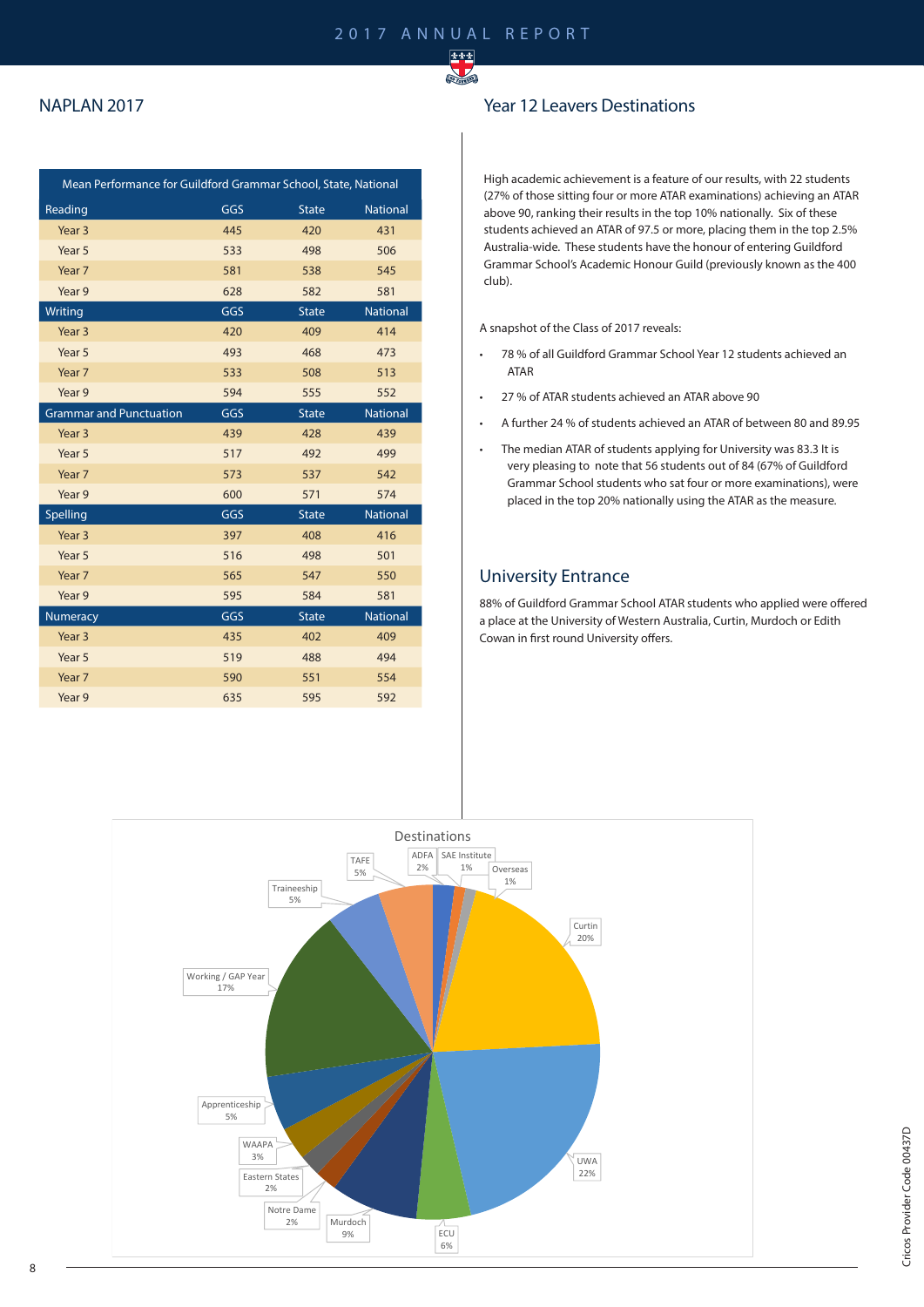

#### NAPLAN 2017

| Mean Performance for Guildford Grammar School, State, National |     |              |                 |  |  |
|----------------------------------------------------------------|-----|--------------|-----------------|--|--|
| Reading                                                        | GGS | <b>State</b> | <b>National</b> |  |  |
| Year <sub>3</sub>                                              | 445 | 420          | 431             |  |  |
| Year 5                                                         | 533 | 498          | 506             |  |  |
| Year 7                                                         | 581 | 538          | 545             |  |  |
| Year 9                                                         | 628 | 582          | 581             |  |  |
| Writing                                                        | GGS | <b>State</b> | <b>National</b> |  |  |
| Year <sub>3</sub>                                              | 420 | 409          | 414             |  |  |
| Year 5                                                         | 493 | 468          | 473             |  |  |
| Year 7                                                         | 533 | 508          | 513             |  |  |
| Year 9                                                         | 594 | 555          | 552             |  |  |
| <b>Grammar and Punctuation</b>                                 | GGS | <b>State</b> | <b>National</b> |  |  |
| Year <sub>3</sub>                                              | 439 | 428          | 439             |  |  |
| Year 5                                                         | 517 | 492          | 499             |  |  |
| Year 7                                                         | 573 | 537          | 542             |  |  |
| Year 9                                                         | 600 | 571          | 574             |  |  |
| Spelling                                                       | GGS | <b>State</b> | <b>National</b> |  |  |
| Year <sub>3</sub>                                              | 397 | 408          | 416             |  |  |
| Year 5                                                         | 516 | 498          | 501             |  |  |
| Year 7                                                         | 565 | 547          | 550             |  |  |
| Year 9                                                         | 595 | 584          | 581             |  |  |
| <b>Numeracy</b>                                                | GGS | <b>State</b> | <b>National</b> |  |  |
| Year <sub>3</sub>                                              | 435 | 402          | 409             |  |  |
| Year 5                                                         | 519 | 488          | 494             |  |  |
| Year 7                                                         | 590 | 551          | 554             |  |  |
| Year 9                                                         | 635 | 595          | 592             |  |  |

#### Year 12 Leavers Destinations

High academic achievement is a feature of our results, with 22 students (27% of those sitting four or more ATAR examinations) achieving an ATAR above 90, ranking their results in the top 10% nationally. Six of these students achieved an ATAR of 97.5 or more, placing them in the top 2.5% Australia-wide. These students have the honour of entering Guildford Grammar School's Academic Honour Guild (previously known as the 400 club).

A snapshot of the Class of 2017 reveals:

- 78 % of all Guildford Grammar School Year 12 students achieved an ATAR
- 27 % of ATAR students achieved an ATAR above 90
- A further 24 % of students achieved an ATAR of between 80 and 89.95
- The median ATAR of students applying for University was 83.3 It is very pleasing to note that 56 students out of 84 (67% of Guildford Grammar School students who sat four or more examinations), were placed in the top 20% nationally using the ATAR as the measure.

#### University Entrance

88% of Guildford Grammar School ATAR students who applied were offered a place at the University of Western Australia, Curtin, Murdoch or Edith Cowan in first round University offers.